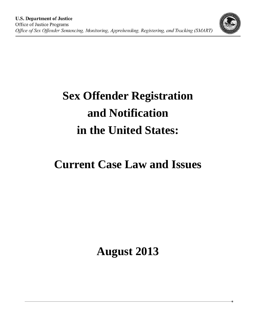

# **Current Case Law and Issues**

**August 2013**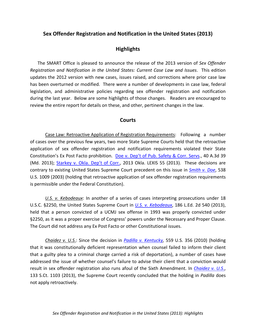# **Highlights**

  The SMART Office is pleased to announce the release of the 2013 version of *Sex Offender Registration and Notification in the United States: Current Case Law and Issues*. This edition updates the 2012 version with new cases, issues raised, and corrections where prior case law has been overturned or modified. There were a number of developments in case law, federal legislation, and administrative policies regarding sex offender registration and notification during the last year. Below are some highlights of those changes. Readers are encouraged to review the entire report for details on these, and other, pertinent changes in the law.

#### **Courts**

 Case Law: Retroactive Application of Registration Requirements: Following a number of cases over the previous few years, two more State Supreme Courts held that the retroactive application of sex offender registration and notification requirements violated their State Constitution's Ex Post Facto prohibition. Doe v. Dep't of Pub. Safety & Corr. Servs., 40 A.3d 39 (Md. 2013); Starkey v. Okla. Dep't of Corr., 2013 Okla. LEXIS 55 (2013). These decisions are  contrary to existing United States Supreme Court precedent on this issue in *Smith v. Doe*, 538 U.S. 1009 (2003) (holding that retroactive application of sex offender registration requirements is permissible under the Federal Constitution).

 *U.S. v. Kebodeaux*: In another of a series of cases interpreting prosecutions under 18  U.S.C. §2250, the United States Supreme Court in *U.S. v. Kebodeaux*, 186 L.Ed. 2d 540 (2013), held that a person convicted of a UCMJ sex offense in 1993 was properly convicted under §2250, as it was a proper exercise of Congress' powers under the Necessary and Proper Clause. The Court did not address any Ex Post Facto or other Constitutional issues.

 *Chaidez v. U.S*.: Since the decision in *Padilla v. Kentucky,* 559 U.S. 356 (2010) (holding that it was constitutionally deficient representation when counsel failed to inform their client that a guilty plea to a criminal charge carried a risk of deportation), a number of cases have addressed the issue of whether counsel's failure to advise their client that a conviction would  result in sex offender registration also runs afoul of the Sixth Amendment. In *Chaidez v. U.S*., 133 S.Ct. 1103 (2013), the Supreme Court recently concluded that the holding in *Padilla* does not apply retroactively.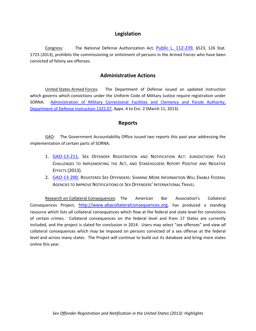#### **Legislation**

Congress: The National Defense Authorization Act, **Public L. 112-239**, §523, 126 Stat. 1723 (2013), prohibits the commissioning or enlistment of persons in the Armed Forces who have been convicted of felony sex offenses.

### **Administrative Actions**

 United States Armed Forces: The Department of Defense issued an updated instruction which governs which convictions under the Uniform Code of Military Justice require registration under SORNA. Administration of Military Correctional Facilities and Clemency and Parole Authority, Department of Defense Instruction 1325.07, Appx. 4 to Enc. 2 (March 11, 2013).

#### **Reports**

GAO: The Government Accountability Office issued two reports this past year addressing the implementation of certain parts of SORNA.

- 1. **GAO-13-211**, Sex Offender Registration and Notification Act: Jurisdictions Face CHALLENGES TO IMPLEMENTING THE ACT, AND STAKEHOLDERS REPORT POSITIVE AND NEGATIVE EFFECTS (2013).
- 2. GAO-13-200, REGISTERED SEX OFFENDERS: SHARING MORE INFORMATION WILL ENABLE FEDERAL AGENCIES TO IMPROVE NOTIFICATIONS OF SEX OFFENDERS' INTERNATIONAL TRAVEL.

Research on Collateral Consequences: The American Bar Association's Collateral Consequences Project, http://www.abacollateralconsequences.org, has produced a standing resource which lists *all* collateral consequences which flow at the federal and state level for convictions of certain crimes. Collateral consequences on the federal level and from 17 States are currently included, and the project is slated for conclusion in 2014. Users may select "sex offenses" and view *all* collateral consequences which may be imposed on persons convicted of a sex offense at the federal level and across many states. The Project will continue to build out its database and bring more states  online this year.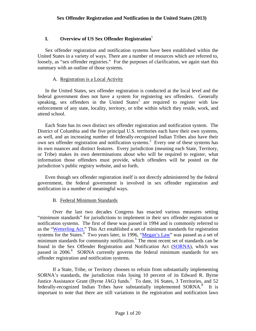## **I.** Overview of US Sex Offender Registration<sup>1</sup>

Sex offender registration and notification systems have been established within the United States in a variety of ways. There are a number of resources which are referred to, loosely, as "sex offender registries." For the purposes of clarification, we again start this summary with an outline of those systems.

#### A. Registration is a Local Activity

In the United States, sex offender registration is conducted at the local level and the federal government does not have a system for registering sex offenders. Generally speaking, sex offenders in the United States<sup>2</sup> are required to register with law enforcement of any state, locality, territory, or tribe within which they reside, work, and attend school.

Each State has its own distinct sex offender registration and notification system. The District of Columbia and the five principal U.S. territories each have their own systems, as well, and an increasing number of federally-recognized Indian Tribes also have their own sex offender registration and notification systems.<sup>3</sup> Every one of these systems has its own nuances and distinct features. Every jurisdiction (meaning each State, Territory, or Tribe) makes its own determinations about who will be required to register, what information those offenders must provide, which offenders will be posted on the jurisdiction's public registry website, and so forth.

Even though sex offender registration itself is not directly administered by the federal government, the federal government is involved in sex offender registration and notification in a number of meaningful ways.

#### B. Federal Minimum Standards

Over the last two decades Congress has enacted various measures setting "minimum standards" for jurisdictions to implement in their sex offender registration or notification systems. The first of these was passed in 1994 and is commonly referred to as the "Wetterling Act." This Act established a set of minimum standards for registration systems for the States.<sup>4</sup> Two years later, in 1996, "Megan's Law" was passed as a set of minimum standards for community notification.<sup>5</sup> The most recent set of standards can be found in the Sex Offender Registration and Notification Act (SORNA), which was passed in 2006.<sup>6</sup> SORNA currently governs the federal minimum standards for sex offender registration and notification systems.

If a State, Tribe, or Territory chooses to refrain from substantially implementing SORNA's standards, the jurisdiction risks losing 10 percent of its Edward R. Byrne Justice Assistance Grant (Byrne JAG) funds.<sup>7</sup> To date, 16 States, 3 Territories, and 52 federally-recognized Indian Tribes have substantially implemented SORNA.<sup>8</sup> It is important to note that there are still variations in the registration and notification laws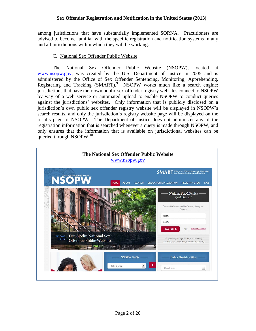among jurisdictions that have substantially implemented SORNA. Practitioners are advised to become familiar with the specific registration and notification systems in any and all jurisdictions within which they will be working.

#### C. National Sex Offender Public Website

The National Sex Offender Public Website (NSOPW), located at www.nsopw.gov, was created by the U.S. Department of Justice in 2005 and is administered by the Office of Sex Offender Sentencing, Monitoring, Apprehending, Registering and Tracking (SMART).<sup>9</sup> NSOPW works much like a search engine: jurisdictions that have their own public sex offender registry websites connect to NSOPW by way of a web service or automated upload to enable NSOPW to conduct queries against the jurisdictions' websites. Only information that is publicly disclosed on a jurisdiction's own public sex offender registry website will be displayed in NSOPW's search results, and only the jurisdiction's registry website page will be displayed on the results page of NSOPW. The Department of Justice does not administer any of the registration information that is searched whenever a query is made through NSOPW, and only ensures that the information that is available on jurisdictional websites can be queried through NSOPW.<sup>10</sup>

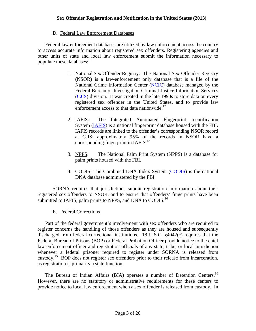#### D. Federal Law Enforcement Databases

populate these databases: $^{11}$ Federal law enforcement databases are utilized by law enforcement across the country to access accurate information about registered sex offenders. Registering agencies and other units of state and local law enforcement submit the information necessary to

- enforcement access to that data nationwide.<sup>12</sup> 1. National Sex Offender Registry: The National Sex Offender Registry (NSOR) is a law-enforcement only database that is a file of the National Crime Information Center (NCIC) database managed by the Federal Bureau of Investigation Criminal Justice Information Services (CJIS) division. It was created in the late 1990s to store data on every registered sex offender in the United States, and to provide law
- 2. IAFIS: The Integrated Automated Fingerprint Identification System (IAFIS) is a national fingerprint database housed with the FBI. IAFIS records are linked to the offender's corresponding NSOR record at CJIS; approximately 95% of the records in NSOR have a corresponding fingerprint in  $IAFIS$ <sup>13</sup>
- 3. NPPS: The National Palm Print System (NPPS) is a database for palm prints housed with the FBI.
- 4. CODIS: The Combined DNA Index System (CODIS) is the national DNA database administered by the FBI.

SORNA requires that jurisdictions submit registration information about their registered sex offenders to NSOR, and to ensure that offenders' fingerprints have been submitted to IAFIS, palm prints to NPPS, and DNA to CODIS.<sup>14</sup>

#### E. Federal Corrections

Part of the federal government's involvement with sex offenders who are required to register concerns the handling of those offenders as they are housed and subsequently discharged from federal correctional institutions. 18 U.S.C. §4042(c) requires that the Federal Bureau of Prisons (BOP) or Federal Probation Officer provide notice to the chief law enforcement officer and registration officials of any state, tribe, or local jurisdiction whenever a federal prisoner required to register under SORNA is released from custody.<sup>15</sup> BOP does not register sex offenders prior to their release from incarceration, as registration is primarily a state function.

The Bureau of Indian Affairs (BIA) operates a number of Detention Centers.<sup>16</sup> However, there are no statutory or administrative requirements for these centers to provide notice to local law enforcement when a sex offender is released from custody. In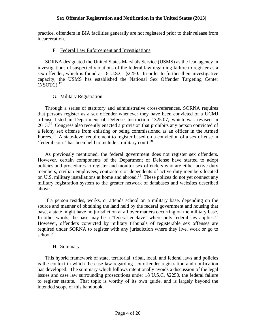practice, offenders in BIA facilities generally are not registered prior to their release from incarceration.

#### F. Federal Law Enforcement and Investigations

 $(NSOTC).<sup>17</sup>$ SORNA designated the United States Marshals Service (USMS) as the lead agency in investigations of suspected violations of the federal law regarding failure to register as a sex offender, which is found at 18 U.S.C. §2250. In order to further their investigative capacity, the USMS has established the National Sex Offender Targeting Center

#### G. Military Registration

Through a series of statutory and administrative cross-references, SORNA requires that persons register as a sex offender whenever they have been convicted of a UCMJ offense listed in Department of Defense Instruction 1325.07, which was revised in 2013.<sup>18</sup> Congress also recently enacted a provision that prohibits any person convicted of a felony sex offense from enlisting or being commissioned as an officer in the Armed Forces.<sup>19</sup> A state-level requirement to register based on a conviction of a sex offense in 'federal court' has been held to include a military court.<sup>20</sup>

As previously mentioned, the federal government does not register sex offenders. However, certain components of the Department of Defense have started to adopt policies and procedures to register and monitor sex offenders who are either active duty members, civilian employees, contractors or dependents of active duty members located on U.S. military installations at home and abroad.<sup>21</sup> These polices do not yet connect any military registration system to the greater network of databases and websites described above.

In other words, the base may be a "federal enclave" where only federal law applies. $^{22}$ school.<sup>23</sup> If a person resides, works, or attends school on a military base, depending on the source and manner of obtaining the land held by the federal government and housing that base, a state might have no jurisdiction at all over matters occurring on the military base. However, offenders convicted by military tribunals of registerable sex offenses are required under SORNA to register with any jurisdiction where they live, work or go to

#### H. Summary

This hybrid framework of state, territorial, tribal, local, and federal laws and policies is the context in which the case law regarding sex offender registration and notification has developed. The summary which follows intentionally avoids a discussion of the legal issues and case law surrounding prosecutions under 18 U.S.C. §2250, the federal failure to register statute. That topic is worthy of its own guide, and is largely beyond the intended scope of this handbook.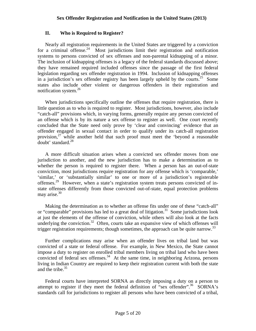#### **II. Who is Required to Register?**

notification system.<sup>26</sup> Nearly all registration requirements in the United States are triggered by a conviction for a criminal offense.<sup>24</sup> Most jurisdictions limit their registration and notification systems to persons convicted of sex offenses and non-parental kidnapping of a minor. The inclusion of kidnapping offenses is a legacy of the federal standards discussed above; they have remained required included offenses since the passage of the first federal legislation regarding sex offender registration in 1994. Inclusion of kidnapping offenses in a jurisdiction's sex offender registry has been largely upheld by the courts.<sup>25</sup> Some states also include other violent or dangerous offenders in their registration and

When jurisdictions specifically outline the offenses that require registration, there is little question as to who is required to register. Most jurisdictions, however, also include "catch-all" provisions which, in varying forms, generally require any person convicted of an offense which is by its nature a sex offense to register as well. One court recently concluded that the State need only prove by 'clear and convincing' evidence that an offender engaged in sexual contact in order to qualify under its catch-all registration provision,27 while another held that such proof must meet the 'beyond a reasonable doubt' standard.<sup>28</sup>

may arise.<sup>30</sup> A more difficult situation arises when a convicted sex offender moves from one jurisdiction to another, and the new jurisdiction has to make a determination as to whether the person is required to register there. When a person has an out-of-state conviction, most jurisdictions require registration for any offense which is 'comparable,' 'similar,' or 'substantially similar' to one or more of a jurisdiction's registerable offenses.<sup>29</sup> However, when a state's registration system treats persons convicted of instate offenses differently from those convicted out-of-state, equal protection problems

Making the determination as to whether an offense fits under one of these "catch-all" or "comparable" provisions has led to a great deal of litigation.<sup>31</sup> Some jurisdictions look at just the elements of the offense of conviction, while others will also look at the facts underlying the conviction.<sup>32</sup> Often, courts take an expansive view of which offenses will trigger registration requirements; though sometimes, the approach can be quite narrow.<sup>33</sup>

Further complications may arise when an offender lives on tribal land but was convicted of a state or federal offense. For example, in New Mexico, the State cannot impose a duty to register on enrolled tribal members living on tribal land who have been convicted of federal sex offenses. $34$  At the same time, in neighboring Arizona, persons living in Indian Country are required to keep their registration current with both the state and the tribe. $35$ 

Federal courts have interpreted SORNA as directly imposing a duty on a person to attempt to register if they meet the federal definition of "sex offender".<sup>36</sup> SORNA's standards call for jurisdictions to register all persons who have been convicted of a tribal,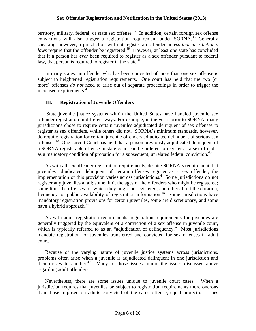territory, military, federal, or state sex offense. $37$  In addition, certain foreign sex offense convictions will also trigger a registration requirement under SORNA.<sup>38</sup> Generally speaking, however, a jurisdiction will not register an offender unless *that jurisdiction's laws* require that the offender be registered.<sup>39</sup> However, at least one state has concluded that if a person has *ever* been required to register as a sex offender pursuant to federal law, that person is required to register in the state.<sup>40</sup>

In many states, an offender who has been convicted of more than one sex offense is subject to heightened registration requirements. One court has held that the two (or more) offenses *do not* need to arise out of separate proceedings in order to trigger the increased requirements.<sup>41</sup>

#### **III. Registration of Juvenile Offenders**

State juvenile justice systems within the United States have handled juvenile sex offender registration in different ways. For example, in the years prior to SORNA, many jurisdictions chose to require certain juveniles adjudicated delinquent of sex offenses to register as sex offenders, while others did not. SORNA's minimum standards, however, do require registration for certain juvenile offenders adjudicated delinquent of serious sex offenses.42 One Circuit Court has held that a person previously adjudicated delinquent of a SORNA-registerable offense in state court can be ordered to register as a sex offender as a mandatory condition of probation for a subsequent, unrelated federal conviction.<sup>43</sup>

As with all sex offender registration requirements, despite SORNA's requirement that juveniles adjudicated delinquent of certain offenses register as a sex offender, the implementation of this provision varies across jurisdictions.<sup>44</sup> Some jurisdictions do not register any juveniles at all; some limit the ages of the offenders who might be registered; some limit the offenses for which they might be registered; and others limit the duration, frequency, or public availability of registration information.<sup>45</sup> Some jurisdictions have mandatory registration provisions for certain juveniles, some are discretionary, and some have a hybrid approach. $46$ 

As with adult registration requirements, registration requirements for juveniles are generally triggered by the equivalent of a conviction of a sex offense in juvenile court, which is typically referred to as an "adjudication of delinquency." Most jurisdictions mandate registration for juveniles transferred and convicted for sex offenses in adult court.

Because of the varying nature of juvenile justice systems across jurisdictions, problems often arise when a juvenile is adjudicated delinquent in one jurisdiction and then moves to another.<sup>47</sup> Many of those issues mimic the issues discussed above regarding adult offenders.

Nevertheless, there are some issues unique to juvenile court cases. When a jurisdiction requires that juveniles be subject to registration requirements more onerous than those imposed on adults convicted of the same offense, equal protection issues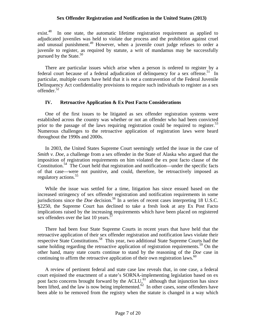pursued by the State. $50$ exist.<sup>48</sup> In one state, the automatic lifetime registration requirement as applied to adjudicated juveniles was held to violate due process and the prohibition against cruel and unusual punishment.<sup>49</sup> However, when a juvenile court judge refuses to order a juvenile to register, as required by statute, a writ of mandamus may be successfully

There are particular issues which arise when a person is ordered to register by a federal court because of a federal adjudication of delinquency for a sex offense.<sup>51</sup> In particular, multiple courts have held that it is *not* a contravention of the Federal Juvenile Delinquency Act confidentiality provisions to require such individuals to register as a sex offender.52

#### **IV. Retroactive Application & Ex Post Facto Considerations**

prior to the passage of the laws requiring registration could be required to register.<sup>53</sup> One of the first issues to be litigated as sex offender registration systems were established across the country was whether or not an offender who had been convicted Numerous challenges to the retroactive application of registration laws were heard throughout the 1990s and 2000s.

regulatory actions.<sup>55</sup> In 2003, the United States Supreme Court seemingly settled the issue in the case of *Smith v. Doe, a challenge from a sex offender in the State of Alaska who argued that the* imposition of registration requirements on him violated the ex post facto clause of the Constitution.<sup>54</sup> The Court held that registration and notification—under the specific facts of that case—were not punitive, and could, therefore, be retroactively imposed as

While the issue was settled for a time, litigation has since ensued based on the increased stringency of sex offender registration and notification requirements in some jurisdictions since the *Doe* decision.<sup>56</sup> In a series of recent cases interpreting 18 U.S.C. §2250, the Supreme Court has declined to take a fresh look at any Ex Post Facto implications raised by the increasing requirements which have been placed on registered sex offenders over the last 10 years.<sup>57</sup>

continuing to affirm the retroactive application of their own registration laws. $60$ There had been four State Supreme Courts in recent years that have held that the retroactive application of their sex offender registration and notification laws violate their respective State Constitutions.<sup>58</sup> This year, two additional State Supreme Courts had the same holding regarding the retroactive application of registration requirements.<sup>59</sup> On the other hand, many state courts continue to stand by the reasoning of the *Doe* case in

A review of pertinent federal and state case law reveals that, in one case, a federal court enjoined the enactment of a state's SORNA-implementing legislation based on ex post facto concerns brought forward by the  $ACLU<sub>0</sub><sup>61</sup>$  although that injunction has since been lifted, and the law is now being implemented.<sup>62</sup> In other cases, some offenders have been able to be removed from the registry when the statute is changed in a way which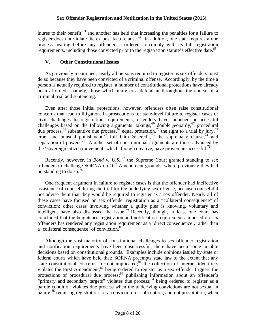requirements, including those convicted prior to the registration statute's effective date.<sup>65</sup> inures to their benefit,<sup>63</sup> and another has held that increasing the penalties for a failure to register does not violate the ex post facto clause.<sup>64</sup> In addition, one state requires a due process hearing before any offender is ordered to comply with its full registration

#### **V. Other Constitutional Issues**

As previously mentioned, nearly all persons required to register as sex offenders must do so because they have been convicted of a criminal offense. Accordingly, by the time a person is actually required to register, a number of constitutional protections have already been afforded—namely, those which inure to a defendant throughout the course of a criminal trial and sentencing.

Even after those initial protections, however, offenders often raise constitutional concerns that lead to litigation. In prosecutions for state-level failure to register cases or civil challenges to registration requirements, offenders have launched unsuccessful challenges based on the following arguments: takings,<sup>66</sup> double jeopardy,<sup>67</sup> procedural due process,<sup>68</sup> substantive due process,<sup>69</sup> equal protection,<sup>70</sup> the right to a trial by jury,<sup>71</sup> cruel and unusual punishment,<sup>72</sup> full faith  $\&$  credit,<sup>73</sup> the supremacy clause,<sup>74</sup> and separation of powers.<sup>75</sup> Another set of constitutional arguments are those advanced by the 'sovereign citizen movement' which, though creative, have proven unsuccessful.<sup>76</sup>

Recently, however, in *Bond v. U.S.*,<sup>77</sup> the Supreme Court granted standing to sex offenders to challenge SORNA on  $10<sup>th</sup>$  Amendment grounds, where previously they had no standing to do so. $78$ 

One frequent argument in failure to register cases is that the offender had ineffective assistance of counsel during the trial for the underlying sex offense, because counsel did not advise them that they would be required to register as a sex offender. Nearly all of these cases have focused on sex offender registration as a "collateral consequence" of conviction; other cases involving whether a guilty plea is knowing, voluntary and intelligent have also discussed the issue.<sup>79</sup> Recently, though, at least one court has concluded that the heightened registration and notification requirements imposed on sex offenders has rendered any registration requirement as a 'direct consequence', rather than a 'collateral consequence' of conviction.<sup>80</sup>

Although the vast majority of constitutional challenges to sex offender registration and notification requirements have been unsuccessful, there have been some notable decisions based on constitutional grounds. Examples include opinions issued by state or federal courts which have held that: SORNA preempts state law to the extent that any state constitutional concerns are not implicated; $81$  the collection of internet identifiers violates the First Amendment; $82$  being ordered to register as a sex offender triggers the protections of procedural due process;<sup>83</sup> publishing information about an offender's "primary and secondary targets" violates due process;<sup>84</sup> being ordered to register as a parole condition violates due process when the underlying convictions are not sexual in nature;<sup>85</sup> requiring registration for a conviction for solicitation, and not prostitution, when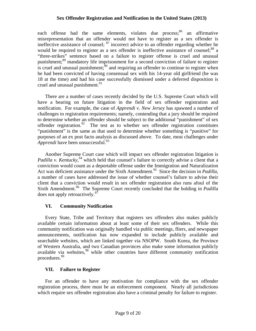each offense had the same elements, violates due process; $86$  an affirmative misrepresentation that an offender would not have to register as a sex offender is ineffective assistance of counsel;  $87$  incorrect advice to an offender regarding whether he would be required to register as a sex offender is ineffective assistance of counsel; $^{88}$  a "three-strikes" sentence based on a failure to register offense is cruel and unusual punishment;89 mandatory life imprisonment for a second conviction of failure to register is cruel and unusual punishment;<sup>90</sup> and requiring an offender to continue to register when he had been convicted of having consensual sex with his 14-year old girlfriend (he was 18 at the time) and had his case successfully dismissed under a deferred disposition is cruel and unusual punishment. $91$ 

*Apprendi* have been unsuccessful.<sup>93</sup> There are a number of cases recently decided by the U.S. Supreme Court which will have a bearing on future litigation in the field of sex offender registration and notification. For example, the case of *Apprendi v. New Jersey* has spawned a number of challenges to registration requirements; namely, contending that a jury should be required to determine whether an offender should be subject to the additional "punishment" of sex offender registration.<sup>92</sup> The test as to whether sex offender registration constitutes "punishment" is the same as that used to determine whether something is "punitive" for purposes of an ex post facto analysis as discussed above. To date, most challenges under

Another Supreme Court case which will impact sex offender registration litigation is Padilla v. Kentucky,<sup>94</sup> which held that counsel's failure to correctly advise a client that a conviction would count as a deportable offense under the Immigration and Naturalization Act was deficient assistance under the Sixth Amendment.<sup>95</sup> Since the decision in *Padilla*, a number of cases have addressed the issue of whether counsel's failure to advise their client that a conviction would result in sex offender registration also runs afoul of the Sixth Amendment.<sup>96</sup> The Supreme Court recently concluded that the holding in *Padilla* does not apply retroactively.<sup>97</sup>

#### **VI. Community Notification**

Every State, Tribe and Territory that registers sex offenders also makes publicly available certain information about at least some of their sex offenders. While this community notification was originally handled via public meetings, fliers, and newspaper announcements, notification has now expanded to include publicly available and searchable websites, which are linked together via NSOPW. South Korea, the Province of Western Australia, and two Canadian provinces also make some information publicly available via websites,<sup>98</sup> while other countries have different community notification procedures.99

#### **VII. Failure to Register**

For an offender to have any motivation for compliance with the sex offender registration process, there must be an enforcement component. Nearly all jurisdictions which require sex offender registration also have a criminal penalty for failure to register.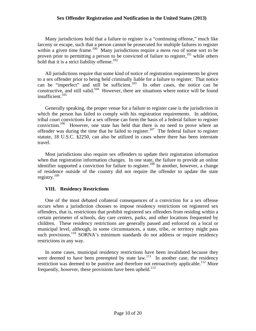hold that it is a strict liability offense. $102$ Many jurisdictions hold that a failure to register is a "continuing offense," much like larceny or escape, such that a person cannot be prosecuted for multiple failures to register within a given time frame.<sup>100</sup> Many jurisdictions require a *mens rea* of some sort to be proven prior to permitting a person to be convicted of failure to register,  $^{101}$  while others

All jurisdictions require that some kind of notice of registration requirements be given to a sex offender prior to being held criminally liable for a failure to register. That notice can be "imperfect" and still be sufficient.<sup>103</sup> In other cases, the notice can be constructive, and still valid.<sup>104</sup> However, there are situations where notice will be found insufficient.105

Generally speaking, the proper venue for a failure to register case is the jurisdiction in which the person has failed to comply with his registration requirements. In addition, tribal court convictions for a sex offense can form the basis of a federal failure to register conviction.106 However, one state has held that there is no need to prove where an offender was during the time that he failed to register.<sup>107</sup> The federal failure to register statute, 18 U.S.C. §2250, can also be utilized in cases where there has been interstate travel.

registry.<sup>109</sup> Most jurisdictions also require sex offenders to update their registration information when that registration information changes. In one state, the failure to provide an online identifier supported a conviction for failure to register.<sup>108</sup> In another, however, a change of residence outside of the country did not require the offender to update the state

#### **VIII. Residency Restrictions**

One of the most debated collateral consequences of a conviction for a sex offense occurs when a jurisdiction chooses to impose residency restrictions on registered sex offenders, that is, restrictions that prohibit registered sex offenders from residing within a certain perimeter of schools, day care centers, parks, and other locations frequented by children. These residency restrictions are generally passed and enforced on a local or municipal level, although, in some circumstances, a state, tribe, or territory might pass such provisions.<sup>110</sup> SORNA's minimum standards do not address or require residency restrictions in any way.

In some cases, municipal residency restrictions have been invalidated because they were deemed to have been preempted by state law.<sup>111</sup> In another case, the residency restriction was deemed to be punitive and therefore not retroactively applicable.<sup>112</sup> More frequently, however, these provisions have been upheld. $113$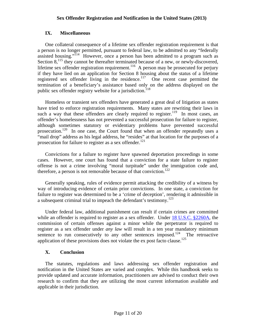#### **IX. Miscellaneous**

One collateral consequence of a lifetime sex offender registration requirement is that a person is no longer permitted, pursuant to federal law, to be admitted to any "federally assisted housing."<sup>114</sup> However, once a person has been admitted to a program such as Section  $8$ ,<sup>115</sup>, they cannot be thereafter terminated because of a new, or newly-discovered, lifetime sex offender registration requirement.<sup>116</sup> A person may be prosecuted for perjury if they have lied on an application for Section 8 housing about the status of a lifetime registered sex offender living in the residence.<sup>117</sup> One recent case permitted the termination of a beneficiary's assistance based only on the address displayed on the public sex offender registry website for a jurisdiction.<sup>118</sup>

Homeless or transient sex offenders have generated a great deal of litigation as states have tried to enforce registration requirements. Many states are rewriting their laws in such a way that these offenders are clearly required to register.<sup>119</sup> In most cases, an offender's homelessness has not prevented a successful prosecution for failure to register, although sometimes statutory or evidentiary problems have prevented successful prosecution.<sup>120</sup> In one case, the Court found that when an offender repeatedly uses a "mail drop" address as his legal address, he "resides" at that location for the purposes of a prosecution for failure to register as a sex offender.<sup>121</sup>

therefore, a person is not removable because of that conviction.<sup>122</sup> Convictions for a failure to register have spawned deportation proceedings in some cases. However, one court has found that a conviction for a state failure to register offense is not a crime involving "moral turpitude" under the immigration code and,

Generally speaking, rules of evidence permit attacking the credibility of a witness by way of introducing evidence of certain prior convictions. In one state, a conviction for failure to register was determined to be a 'crime of deception', rendering it admissible in a subsequent criminal trial to impeach the defendant's testimony.<sup>123</sup>

Under federal law, additional punishment can result if certain crimes are committed while an offender is required to register as a sex offender. Under 18 U.S.C. §2260A, the commission of certain offenses against a minor while the perpetrator is required to register as a sex offender under *any law* will result in a ten year mandatory minimum sentence to run consecutively to any other sentences imposed.<sup>124</sup> The retroactive application of these provisions does not violate the ex post facto clause.<sup>125</sup>

#### **X. Conclusion**

The statutes, regulations and laws addressing sex offender registration and notification in the United States are varied and complex. While this handbook seeks to provide updated and accurate information, practitioners are advised to conduct their own research to confirm that they are utilizing the most current information available and applicable in their jurisdiction.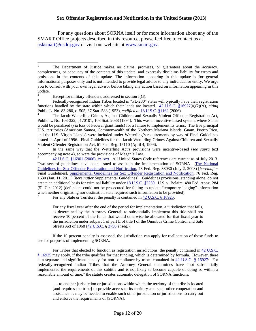For any questions about SORNA itself or for more information about any of the SMART Office projects described in this resource, please feel free to contact us at asksmart@usdoj.gov or visit our website at www.smart.gov.

 $\overline{a}$ 

5 In the same way that the Wetterling Act's provisions were incentive-based (*see supra* text accompanying note 4), so were the provisions of Megan's Law.<br>
<sup>6</sup> 42 U.S.C. §16901 (2006), *et. seq.* All United States Code references are current as of July 2013.

Streets Act of 1968 (42 U.S.C. § 3750 et seq.). For any fiscal year after the end of the period for implementation, a jurisdiction that fails, as determined by the Attorney General, to substantially implement this title shall not receive 10 percent of the funds that would otherwise be allocated for that fiscal year to the jurisdiction under subpart 1 of part E of title I of the Omnibus Crime Control and Safe

If the 10 percent penalty is assessed, the jurisdiction can apply for reallocation of those funds to use for purposes of implementing SORNA.

 implemented the requirements of this subtitle and is not likely to become capable of doing so within a For Tribes that elected to function as registration jurisdictions, the penalty contained in 42 U.S.C. § 16925 may apply, if the tribe qualifies for that funding, which is determined by formula. However, there is a separate and significant penalty for non-compliance by tribes contained in 42 U.S.C. § 16927: For federally-recognized Indian Tribes that the Attorney General determines have "not substantially reasonable amount of time," the statute creates automatic delegation of SORNA functions:

. . . to another jurisdiction or jurisdictions within which the territory of the tribe is located [and requires the tribe] to provide access to its territory and such other cooperation and assistance as may be needed to enable such other jurisdiction or jurisdictions to carry out and enforce the requirements of [SORNA].

 omissions in the contents of this update. The information appearing in this update is for general The Department of Justice makes no claims, promises, or guarantees about the accuracy, completeness, or adequacy of the contents of this update, and expressly disclaims liability for errors and informational purposes only and is not intended to provide legal advice to any individual or entity. We urge you to consult with your own legal advisor before taking any action based on information appearing in this update.

Except for military offenders, addressed in section  $I(G)$ .<br>Federally-recognized Indian Tribes located in "PL-280" states will typically have their registration functions handled by the state within which their lands are located. 42 U.S.C. §16927(a)(2)(A), *citing*  Public L. No. 83-280, c. 505, 67 Stat. 588 (1953), *codified at* 18 U.S.C. §1162 (2006).<br><sup>4</sup> The Jacob Wetterling Crimes Against Children and Sexually Violent Offender Registration Act,

 Public L. No. 103-322, §170101, 108 Stat. 2038 (1994). This was an incentive-based system, where States would be penalized (via loss of Federal grant funds) for a failure to implement its terms. The five principal U.S. territories (American Samoa, Commonwealth of the Northern Mariana Islands, Guam, Puerto Rico, and the U.S. Virgin Islands) were included under Wetterling's requirements by way of Final Guidelines issued in April of 1996. Final Guidelines for the Jacob Wetterling Crimes Against Children and Sexually Violent Offender Registration Act, 61 Fed. Reg. 15110 (April 4, 1996).

Two sets of guidelines have been issued to assist in the implementation of SORNA. The National  $(5<sup>th</sup> Cir. 2012)$  (defendant could not be prosecuted for failing to update "temporary lodging" information Guidelines for Sex Offender Registration and Notification, 73 Fed. Reg. 38030 (July 2, 2008) [*hereinafter*  Final Guidelines], Supplemental Guidelines for Sex Offender Registration and Notification, 76 Fed. Reg. 1630 (Jan. 11, 2011) [*hereinafter* Supplemental Guidelines]. Guidelines provisions, standing alone, do not create an additional basis for criminal liability under 18 U.S.C. §2250. U.S. v. Belaire, 480 Fed. Appx. 284 when neither originating nor destination state required such information to be provided).<br>
For any State or Territory, the penalty is contained in 42 U.S.C.  $\S$  16925: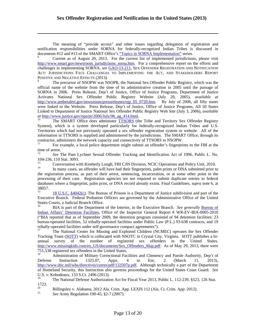The meaning of "provide access" and other issues regarding delegation of registration and notification responsibilities under SORNA for federally-recognized Indian Tribes is discussed in documents #12 and #13 of the SMART Office's "Topics in SORNA Implementation" series.

 $\overline{a}$ 

Current as of August 20, 2013. For the current list of implemented jurisdictions, please visit http://www.smart.gov/newsroom\_jurisdictions\_sorna.htm. For a comprehensive report on the efforts and challenges in implementing SORNA, *see* GAO-13-211, SEX OFFENDER REGISTRATION AND NOTIFICATION ACT: JURISDICTIONS FACE CHALLENGES TO IMPLEMENTING THE ACT, AND STAKEHOLDERS REPORT POSITIVE AND NEGATIVE EFFECTS (2013).<br><sup>9</sup> The precursor of NSOPW was NSOPR, the National Sex Offender Public Registry, which was the

official name of the website from the time of its administrative creation in 2005 until the passage of SORNA in 2006. Press Release, Dep't of Justice, Office of Justice Programs, Department of Justice Activates National Sex Offender Public Registry Website (July 20, 2005), *available at*  http://www.amberalert.gov/newsroom/pressreleases/ojp\_05\_0720.htm. By July of 2006, all fifty states were linked to the Website. Press Release, Dep't of Justice, Office of Justice Programs, All 50 States Linked to Department of Justice National Sex Offender Public Registry Web Site (July 3, 2006), *available* 

The SMART Office does administer TTSORS (the Tribe and Territory Sex Offender Registry System), which is a system developed particularly for federally-recognized Indian Tribes and U.S. Territories which had not previously operated a sex offender registration system or website. All of the information in TTSORS is supplied and administered by the jurisdictions. The SMART Office, through its

contractor, administers the network capacity and connectivity of TTSORS to NSOPW.<br><sup>11</sup> For example, a local police department might submit an offender's fingerprints to the FBI at the time of arrest.

<sup>12</sup>*See* The Pam Lychner Sexual Offender Tracking and Identification Act of 1996, Public L. No. 104-236, 110 Stat. 3093.

 databases where a fingerprint, palm print, or DNA record already exists. Final Guidelines, *supra* note 6, at 13 Conversation with Kimberly Lough, FBI CJIS Division, NCIC Operations and Policy Unit, 2010. 14 In many cases, an offender will have had their fingerprints, palm prints or DNA submitted prior to the registration process, as part of their arrest, sentencing, incarceration, or at some other point in the processing of their case. Registration agencies are not required to submit duplicate entries to federal 38057.

15 15 18 U.S.C. §4042(c). The Bureau of Prisons is a Department of Justice subdivision and part of the Executive Branch. Federal Probation Officers are governed by the Administrative Office of the United States Courts, a Judicial Branch Office. 16 BIA is part of the Department of the Interior, in the Executive Branch. *See generally* Bureau of

Indian Affairs' Detention Facilities, Office of the Inspector General Report # WR-EV-BIA-0005-2010 ("BIA reported that as of September 2009, the detention program consisted of 94 detention facilities: 23 bureau-operated facilities, 52 tribally-operated facilities under Public Law (P.L.) 93-638 contracts, and 19 tribally-operated facilities under self-governance compact agreements").<br><sup>17</sup> The National Center for Missing and Exploited Children (NCMEC) operates the Sex Offender

Tracking Team (SOTT) which is collocated with NSOTC in Crystal City, Virginia. SOTT publishes a biannual survey of the number of registered sex offenders in the United States. http://www.missingkids.com/en\_US/documents/Sex\_Offenders\_Map.pdf. As of May 29, 2013, there were 751,538 registered sex offenders in the United States.<br><sup>18</sup> Administration of Military Correctional Facilities and Clemency and Parole Authority, Dep't of

18 to Defense Instruction 1325.07, Appx. 4 to Enc. 2 (March 11, 2013), http://www.dtic.mil/whs/directives/corres/pdf/132507p.pdf. Although technically a part of the Department of Homeland Security, this Instruction also governs proceedings for the United States Coast Guard. *See*  U.S. v. Kebodeaux, 133 S.Ct. 2496 (2013).

19 The National Defense Authorization Act for Fiscal Year 2013, Public L. 112-239, §523, 126 Stat. 1723.

 $20\,$ 20 Billingsley v. Alabama, 2012 Ala. Crim. App. LEXIS 112 (Ala. Ct. Crim. App. 2012). 21 *See* Army Regulation 190-45, §2-7 (2007).

 $21$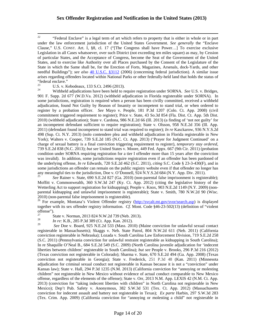$22$  Clause," U.S. CONST. Art. I, §8, cl. 17 ("[The Congress shall have Power…] To exercise exclusive 22 "Federal Enclave" is a legal term of art which refers to property that is either in whole or in part under the law enforcement jurisdiction of the United States Government. *See generally* the "Enclave Legislation in all Cases whatsoever, over such District (not exceeding ten miles square) as may, by Cession of particular States, and the Acceptance of Congress, become the Seat of the Government of the United States, and to exercise like Authority over all Places purchased by the Consent of the Legislature of the State in which the Same shall be, for the Erection of Forts, Magazines, Arsenals, dock-Yards, and other needful Buildings"); *see also* 40 U.S.C. §3112 (2006) (concerning federal jurisdiction). A similar issue arises regarding offenders located within National Parks or other federally-held land that holds the status of "federal enclave."<br> $^{23}$ 

 an incompetent defendant sufficient to require registration); State v. Olsson, 958 N.E.2d 356 (Ill. App. was invalid). In addition, some jurisdictions require registration even if an offender has been pardoned of some jurisdictions an offender can remain on the public registry website even if that offender no longer has U.S. v. Kebodeaux, 133 S.Ct. 2496 (2013).<br>Withheld adjudications have been held to require registration under SORNA. *See* U.S. v. Bridges, 901 F. Supp. 2d 677 (W.D.Va. 2012) (withheld adjudication in Florida registerable under SORNA). In some jurisdictions, registration is required when a person has been civilly committed, received a withheld adjudication, found Not Guilty by Reason of Insanity or incompetent to stand trial, or when ordered to register by a probation officer. *See* Mayo v. People, 181 P.3d 1207 (Colo. Ct. App. 2008) (civil commitment triggered requirement to register); Price v. State, 43 So.3d 854 (Fla. Dist. Ct. App. 5th Dist. 2010) (withheld adjudication); State v. Cardona, 986 N.E.2d 66 (Ill. 2013) (a finding of 'not not guilty' for 2011) (defendant found incompetent to stand trial was required to register); *In re* Kasckarow, 936 N.Y.S.2d 498 (Sup. Ct. N.Y. 2013) (nolo contendere plea and withheld adjudication in Florida registerable in New York); Walters v. Cooper, 739 S.E.2d 185 (N.C. Ct. App. 2013) ('Prayer for Judgment Continued' on a charge of sexual battery is a final conviction triggering requirement to register), *temporary stay ordered*, 739 S.E.2d 838 (N.C. 2013); *but see* United States v. Moore, 449 Fed. Appx. 667 (9th Cir. 2011) (probation condition under SORNA requiring registration for a tier I offender more than 15 years after the conviction the underlying offense, *In re* Edwards, 720 S.E.2d 462 (S.C. 2011), *citing* S.C. Code § 23-3-430(F), and in any meaningful ties to the jurisdiction, Doe v. O'Donnell, 924 N.Y.S.2d 684 (N.Y. App. Div. 2011). 25 *See* Rainer v. State, 690 S.E.2d 827 (Ga. 2010) (non-parental false imprisonment is registerable);

 Moffitt v. Commonwealth, 360 S.W.3d 247 (Ky. Ct. App. 2012) (citing the legislative history of the Wetterling Act to support registration for kidnapping); People v. Knox, 903 N.E.2d 1149 (N.Y. 2009) (nonparental kidnapping and unlawful imprisonment is registerable); State v. Smith, 780 N.W.2d 90 (Wisc. 2010) (non-parental false imprisonment is registerable).

<sup>26</sup> For example, Montana's Violent Offender registry (http://svcalt.mt.gov/svor/search.asp) is displayed together with its sex offender registry information. *Cf.* Mont. Code §46-23-502(13) (definition of "violent offense").

27 State v. Norman, 2013 824 N.W.2d 739 (Neb. 2013). 28 *In re:* K.B., 285 P.3d 389 (Ct. App. Kan. 2012).

29 children" not registerable in New Mexico without evidence of actual conduct comparable to New Mexico conviction for indecent assault and battery not registerable in Texas); *Ex parte* Harbin, 297 S.W.3d 283 <sup>29</sup>*See* Doe v. Board, 925 N.E.2d 533 (Mass. 2010) (Maine conviction for unlawful sexual contact registerable in Massachusetts); Skaggs v. Neb. State Patrol, 804 N.W.2d 611 (Neb. 2011) (California conviction registerable in Nebraska); Lozada v. South Carolina Law Enforcement Division, 719 S.E.2d 258 (S.C. 2011) (Pennsylvania conviction for unlawful restraint registerable as kidnapping in South Carolina); In re Shaquille O'Neal B., 684 S.E.2d 549 (S.C. 2009) (North Carolina juvenile adjudication for 'indecent liberties between children' registerable in South Carolina); *but see* People v. Brooks, 296 P.3d 216 (2012) (Texas conviction not registerable in Colorado); Sharma v. State, 670 S.E.2d 494 (Ga. App. 2008) (Texas conviction not registerable in Georgia); State v. Frederick, 251 P.3d 48 (Kan. 2011) (Minnesota adjudication for criminal sexual conduct not registerable in Kansas because it is not a "conviction" under Kansas law); State v. Hall, 294 P.3d 1235 (N.M. 2013) (California conviction for "annoying or molesting offense, regardless of the elements of the offense); State v. Orr, 2013 N.M. App. LEXIS 42 (N.M. Ct. App. 2013) (conviction for "taking indecent liberties with children" in North Carolina not registerable in New Mexico); Dep't Pub. Safety v. Anonymous, 382 S.W.3d 531 (Tex. Ct. App. 2012) (Massachusetts (Tex. Crim. App. 2009) (California conviction for "annoying or molesting a child" not registerable in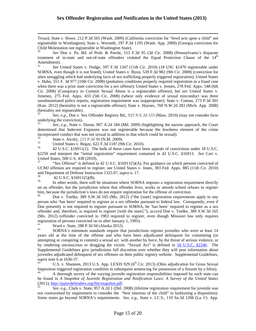registerable in Washington); State v. Werneth, 197 P.3d 1195 (Wash. App. 2008) (Georgia conviction for Texas); State v. Howe, 212 P.3d 565 (Wash. 2009) (California conviction for "lewd acts upon a child" not Child Molestation not registerable in Washington State).

<sup>30</sup>*See* Doe v. Pa. Bd. of Prob. & Parole, 513 F.3d 95 (3d Cir. 2008) (Pennsylvania's disparate treatment of in-state and out-of-state offenders violated the Equal Protection Clause of the  $14<sup>th</sup>$ Amendment).

 Cir. 2008) (Conspiracy to Commit Sexual Abuse is a registerable offense); *but see* United States v. (Kan. 2012) (bestiality is not a registerable offense); State v. Haynes, 760 N.W.2d 283 (Mich. App. 2008) <sup>31</sup>*See* United States v. Dodge, 597 F.3d 1347 (11th Cir. 2010) (18 USC §1470 registerable under SORNA, even though it is not listed); United States v. Byun, 539 F.3d 982 (9th Cir. 2008) (conviction for alien smuggling which had underlying facts of sex trafficking properly triggered registration); United States v. Hahn, 551 F. 3d 977 (10th Cir. 2008) (probation conditions properly required registration in a fraud case when there was a prior state conviction for a sex offense); United States v. Jensen, 278 Fed. Appx. 548 (6th Jimenez, 275 Fed. Appx. 433 (5th Cir. 2008) (where only evidence of sexual misconduct was three unsubstantiated police reports, registration requirement was inappropriate); State v. Coman, 273 P.3d 301 (bestiality not registerable).

<sup>32</sup>*See*, *e.g.*, Doe v. Sex Offender Registry Bd., 925 N.E.2d 533 (Mass. 2010) (may not consider facts underlying the conviction).

 incorporated conduct that was not sexual in addition to that which could be sexual). See, e.g., State v. Duran, 967 A.2d 184 (Md. 2009) (highlighting the narrow approach, the Court determined that Indecent Exposure was not registerable because the lewdness element of the crime

34

35

36 State v. Atcitty, 215 P.3d 90 (N.M. 2009).<br>35 United States v. Begay, 622 F.3d 1187 (9th Cir. 2010). 36 42 U.S.C. §16911(1). The bulk of these cases have been appeals of convictions under 18 U.S.C. §2250 and interpret the "initial registration" requirement contained in 42 U.S.C. §16913. *See* Carr v. United States, 560 U.S. 438 (2010).

"Sex Offense" is defined in 42 U.S.C. §16911(5)(A). For guidance on which persons convicted of UCMJ offenses are required to register, see United States v. Jones, 383 Fed. Appx. 885 (11th Cir. 2010) and Department of Defense Instruction 1325.07, *supra* n. 17. 38 42 U.S.C. §16911(5)(B).

 $\overline{a}$ 

In other words, there will be situations where SORNA imposes a registration requirement directly on an offender, but the jurisdiction where that offender lives, works or attends school refuses to register him, because the jurisdiction's laws do not require registration for the offense of conviction.<br><sup>40</sup> Doe v. Toelke, 389 S.W.3d 165 (Mo. 2012) ("the [state] registration requirements apply to any

40 registration of persons convicted on or after January 1, 1995). person who 'has been' required to register as a sex offender pursuant to federal law. Consquently, even if Doe presently is not required to register pursuant to SORNA, he 'has been' required to register as a sex offender and, therefore, is required to register [with the state]."), *accord* Doe v. Toelke, 389 S.W.3d 165 (Mo. 2012) (offender convicted in 1983 required to register, even though Missouri law only requires

supra note 6 at 1636-37. Ward v. State, 288 P.3d 94 (Alaska 2012).<br>SORNA's minimum standards require that jurisdictions register juveniles who were at least 14 years old at the time of the offense and who have been adjudicated delinquent for committing (or attempting or conspiring to commit) a sexual act with another by force, by the threat of serious violence, or by rendering unconscious or drugging the victim. "Sexual Act" is defined in 18 U.S.C. §2246. The Supplemental Guidelines give jurisdictions full discretion over whether they will post information about juveniles adjudicated delinquent of sex offenses on their public registry website. Supplemental Guidelines,

U.S. v. Shannon, 2013 U.S. App. LEXIS 929 (6<sup>th</sup> Cir. 2013) (Ohio adjudication for Gross Sexual Imposition triggered registration condition in subsequent sentencing for possession of a firearm by a felon).

 $(2011)$ , http://pajuvdefenders.org/file/snapshot.pdf. 44 A thorough survey of the varying juvenile registration responsibilities imposed by each state can be found in *A Snapshot of Juvenile Registration and Notification Laws: A Survey of the United States* 

See, e.g., Clark v. State, 957 A.2d 1 (Del. 2008) (lifetime registration requirement for juvenile was not contravened by requirement to consider the "best interests of the child" in fashioning a disposition). Some states go beyond SORNA's requirements. *See*, *e.g.*, State v. I.C.S., 110 So.3d 1208 (La. Ct. App.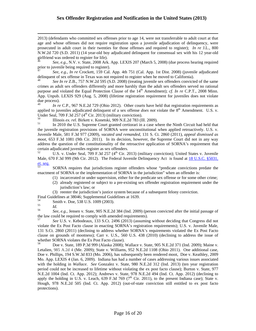Ì. 2013) (defendants who committed sex offenses prior to age 14, were not transferrable to adult court at that age and whose offenses did not require registration upon a juvenile adjudication of delinquency, were prosecuted in adult court in their twenties for those offenses and required to register); *In re* J.L., 800 N.W.2d 720 (S.D. 2011) (14 year-old boy adjudicated delinquent for consensual sex with his 12 year-old girlfriend was ordered to register for life).

<sup>46</sup>*See, e.g.,* N.V. v. State, 2008 Ark. App. LEXIS 207 (March 5, 2008) (due process hearing required prior to juvenile being required to register).

<sup>47</sup>*See*, *e.g.*, *In re* Crockett, 159 Cal. App. 4th 751 (Cal. App. 1st Dist. 2008) (juvenile adjudicated delinquent of sex offense in Texas was not required to register when he moved to California).

 App. Unpub. LEXIS 929 (Aug. 5, 2008) (lifetime registration requirement for juveniles does not violate <sup>48</sup>*See In re* Z.B., 757 N.W.2d 595 (S.D. 2008) (treating juvenile sex offenders convicted of the same crimes as adult sex offenders differently and more harshly than the adult sex offenders served no rational purpose and violated the Equal Protection Clause of the 14<sup>th</sup> Amendment); *cf. In re* C.P.T., 2008 Minn. due process).

In re C.P., 967 N.E.2d 729 (Ohio 2012). Other courts have held that registration requirements as applied to juveniles adjudicated delinquent of a sex offense *does not* violate the 8<sup>th</sup> Amendment. U.S. v. Under Seal, 709 F.3d 257 (4<sup>th</sup> Cir. 2013) (military conviction).

 Juvenile Male, 581 F.3d 977 (2009), *vacated and remanded*, 131 S. Ct. 2860 (2011), *appeal dismissed as moot*, 653 F.3d 1081 (9th Cir. 2011). In its decision, however, the Supreme Court did not in any way Illinois ex. rel. Birkett v. Konetski, 909 N.E.2d 783 (Ill. 2009).<br>In 2010 the U.S. Supreme Court granted certiorari in a case where the Ninth Circuit had held that the juvenile registration provisions of SORNA were unconstitutional when applied retroactively. U.S. v. address the question of the constitutionality of the retroactive application of SORNA's requirement that certain adjudicated juveniles register as sex offenders.

52 U.S. v. Under Seal, 709 F.3d 257 (4<sup>th</sup> Cir. 2013) (military conviction); United States v. Juvenile Male, 670 F.3d 999 (9th Cir. 2012). The Federal Juvenile Delinquency Act is found at 18 U.S.C. §5031, *et. seq.*

53 SORNA requires that jurisdictions register offenders whose "predicate convictions predate the enactment of SORNA or the implementation of SORNA in the jurisdiction" when an offender is:

- (1) incarcerated or under supervision, either for the predicate sex offense or for some other crime;
- (2) already registered or subject to a pre-existing sex offender registration requirement under the jurisdiction's law; or
- (3) reenter the jurisdiction's justice system because of a subsequent felony conviction.

Final Guidelines at 38046; Supplemental Guidelines at 1639.

 $\overline{a}$ 

56 Smith v. Doe, 538 U.S. 1009 (2003).<br>*Id. See, e.g.*, Jensen v. State, 905 N.E.2d 384 (Ind. 2009) (person convicted after the initial passage of the law could be required to comply with amended requirements).

 clause on grounds of mootness); Carr v. U.S., 560 U.S. 438 (2010) (declining to address the issue of <sup>57</sup>*See* U.S. v. Kebodeaux, 133 S.Ct. 2496 (2013) (assuming without deciding that Congress did not violate the Ex Post Facto clause in enacting SORNA's registration requirements); U.S. v. Juvenile Male, 131 S.Ct. 2860 (2011) (declining to address whether SORNA's requirements violated the Ex Post Facto

 Doe v. Phillips, 194 S.W.3d 833 (Mo. 2006), has subsequently been rendered moot, Doe v. Keathley, 2009 N.E.2d 1004 (Ind. Ct. App. 2012); Andrews v. State, 978 N.E.2d 494 (Ind. Ct. App. 2012) (declining to whether SORNA violates the Ex Post Facto clause).<br><sup>58</sup> Doe v. State, 189 P.3d 999 (Alaska 2008); Wallace v. State, 905 N.E.2d 371 (Ind. 2009); Maine v. Letalien, 985 A.2d 4 (Me. 2009); State v. Williams, 952 N.E.2d 1108 (Ohio 2011). One additional case, Mo. App. LEXIS 4 (Jan. 6, 2009). Indiana has had a number of cases addressing various issues associated with the holding in *Wallace*. *See* Gonzalez v. State, 980 N.E.2d 312 (Ind. 2013) (ten year registration period could not be increased to lifetime without violating the ex post facto clause); Burton v. State, 977 apply the holding in U.S. v. Leach, 639 F.3d 769 ( $7<sup>th</sup>$  Cir. 2011), to the present Indiana case); State v. Hough, 978 N.E.2d 505 (Ind. Ct. App. 2012) (out-of-state conviction still entitled to ex post facto protections).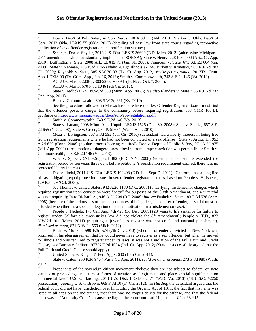59 59 Doe v. Dep't of Pub. Safety & Corr. Servs., 40 A.3d 39 (Md. 2013); Starkey v. Okla. Dep't of Corr., 2013 Okla. LEXIS 55 (Okla. 2013) (detailing all case law from state courts regarding retroactive application of sex offender registration and notification statutes).

 2009); State v. Yeoman, 236 P.3d 1265 (Idaho 2010); Illinois *ex. rel.* Birkett v. Konetski, 909 N.E.2d 783 App. LEXIS 99 (Tx. Crim. App., Jan. 16, 2013); Smith v. Commonwealth, 743 S.E.2d 146 (Va. 2013). <sup>60</sup>*See*, *e.g.*, Doe v. Snyder, 2013 U.S. Dist. LEXIS 36699 (E.D. Mich. 2013) (addressing Michigan's 2011 amendments which substantially implemented SORNA); State v. Henry, 228 P.3d 900 (Ariz. Ct. App. 2010); Buffington v. State, 2008 Ark. LEXIS 71 (Jan. 31, 2008); Finnicum v. State, 673 S.E.2d 604 (Ga. (Ill. 2009); Reynolds v. State, 385 S.W.3d 93 (Tx. Ct. App. 2012), *rev'w pet'n granted,* 2013Tx. Crim.

63 61 ACLU v. Masto, 2:08-cv-00822-JCM-PAL (D. Nev., Oct. 7, 2008).<br>62 ACLU v. Masto, 670 F.3d 1046 (9th Cir. 2012).<br>63 State v. Jedlicka, 747 N.W.2d 580 (Minn. App. 2008); *see also* Flanders v. State, 955 N.E.2d 732 (Ind. App. 2011).

 that the offender poses a danger to the community before requiring registration: 803 CMR 106(B), Buck v. Commonwealth, 308 S.W.3d 661 (Ky. 2010).<br>See the procedure followed in Massachusetts, where the Sex Offender Registry Board must find *available at http://www.mass.gov/eopss/docs/sorb/sor-regulations.pdf*.<br><sup>66</sup> Smith v. Commonwealth, 743 S.E.2d 146 (Va. 2013).

67 67 State v. Larson, 2008 Minn. App. Unpub. LEXIS 1525 (Dec. 30, 2008); State v. Sparks, 657 S.E. 2d 655 (N.C. 2008); State v. Green, 230 P.3d 654 (Wash. App. 2010).<br><sup>68</sup> Meza v. Livingston, 607 F.3d 392 (5th Cir. 2010) (defendant had a liberty interest in being free

from registration requirements where he had not been convicted of a sex offense); State v. Arthur H., 953 A.2d 630 (Conn. 2008) (no due process hearing required); Doe v. Dep't of Public Safety, 971 A.2d 975 (Md. App. 2009) (presumption of dangerousness flowing from a rape conviction was permissible); Smith v. Commonwealth, 743 S.E.2d 146 (Va. 2013).

69 Woe v. Spitzer, 571 F.Supp.2d 382 (E.D. N.Y. 2008) (when amended statute extended the registration period by ten years three days before petitioner's registration requirement expired, there was no protected liberty interest).

Doe v. Jindal, 2011 U.S. Dist. LEXIS 100408 (E.D. La., Sept. 7, 2011). California has a long line of cases litigating equal protection issues in sex offender registration cases, based on People v. Hofsheier, 129 P.3d 29 (Cal. 2006).

71 was not required); In re Richard A., 946 A.2d 204 (R.I. 2008); *but see* Fushek v. State, 183 P.3d 536 (Ariz. afforded when there is a special allegation of sexual motivation in a misdemeanor case). <sup>71</sup>*See* Thomas v. United States, 942 A.2d 1180 (D.C. 2008) (underlying misdemeanor charges which required registration upon conviction were "petty" for purposes of the Sixth Amendment, and a jury trial 2008) (because of the seriousness of the consequences of being designated a sex offender, jury trial must be

People v. Nichols, 176 Cal. App. 4th 428 (3d Dist. 2009) (28 years to life sentence for failure to register under California's three-strikes law did not violate the 8<sup>th</sup> Amendment); People v. T.D., 823 N.W.2d 101 (Mich. 2011) (requiring a juvenile to register was not cruel and unusual punishment), *dismissed as moot, 821 N.W.2d 569 (Mich. 2012).*<br><sup>73</sup> Rosin v. Monken, 599 F.3d 574 (7th Cir. 2010) (when an offender convicted in New York was

 to Illinois and was required to register under its laws, it was not a violation of the Full Faith and Credit promised in his plea agreement that he would never have to register as a sex offender, but when he moved Clause); *see* Burton v. Indiana, 977 N.E.2d 1004 (Ind. Ct. App. 2012) (State unsuccessfully argued that the Full Faith and Credit Clause should apply).

74

75 United States v. King, 431 Fed. Appx. 630 (10th Cir. 2011).<br>State v. Caton, 260 P.3d 946 (Wash. Ct. App. 2011), *rev'd on other grounds*, 273 P.3d 980 (Wash. 2012).

 court was an 'Admiralty Court' because the flag in the courtroom had fringe on it. *Id*. at \*3-\*15. Proponents of the sovereign citizen movement "believe they are not subject to federal or state statutes or proceedings, reject most forms of taxation as illegitimate, and place special significance on commercial law." U.S. v. Harding, 2013 U.S. Dist. LEXIS 62471 (W.D. Va. 2013) (18 U.S.C. §2250 prosecution), *quoting* U.S. v. Brown, 669 F.3d 10 (1<sup>st</sup> Cir. 2012). In *Harding* the defendant argued that the federal court did not have jurisdiction over him, citing the Organic Act of 1871, the fact that his name was listed in all caps on the indictment, that there was no corpus delicti for the offense, and that the federal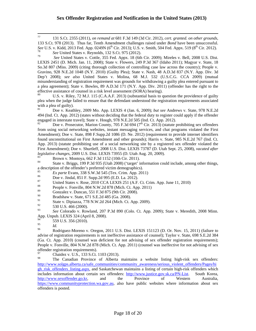$77$ *See* U.S. v. Kidd, 2013 Fed. App. 0249N (6<sup>th</sup> Cir. 2013); U.S. v. Smith, 504 Fed. Appx. 519 (8<sup>th</sup> Cir. 2012).<br><sup>78</sup> *See* United States v. Reynolds, 132 S.Ct. 975 (2012). 77 131 S.Ct. 2355 (2011), *on remand at* 681 F.3d 149 (3d Cir. 2012), *cert. granted. on other grounds,* 133 S.Ct. 978 (2013). Thus far, Tenth Amendment challenges raised under *Bond* have been unsuccessful.

 Gravino, 928 N.E.2d 1048 (N.Y. 2010) (Guilty Plea); State v. Nash, 48 A.D.3d 837 (N.Y. App. Div. 3d a plea agreement); State v. Bowles, 89 A.D.3d 171 (N.Y. App. Div. 2011) (offender has the right to the <sup>79</sup>*See* United States v. Cottle, 355 Fed. Appx. 18 (6th Cir. 2009); Mireles v. Bell, 2008 U.S. Dist. LEXIS 2451 (D. Mich. Jan. 11, 2008); State v. Flowers, 249 P.3d 367 (Idaho 2011); Magyar v. State, 18 So.3d 807 (Miss. 2009) (citing thorough collection of controlling case law across the country); People v. Dep't 2008); *see also* United States v. Molina, 68 M.J. 532 (U.S.C.G. CCA 2009) (mutual misunderstanding of registration requirement was grounds for withdrawing a guilty plea entered pursuant to effective assistance of counsel in a risk level assessment (SORA) hearing).<br><sup>80</sup> U.S. v. Riley, 72 M.J. 115 (C.A.A.F. 2013) (substantial basis to question the providence of guilty

 $80\,$ plea when the judge failed to ensure that the defendant understood the registration requirements associated with a plea of guilty).

81 Doe v. Keathley, 2009 Mo. App. LEXIS 4 (Jan. 6, 2009); *but see* Andrews v. State, 978 N.E.2d 494 (Ind. Ct. App. 2012) (states without deciding that the federal duty to register could apply if the offender engaged in interstate travel); State v. Hough, 978 N.E.2d 505 (Ind. Ct. App. 2012).

Doe v. Prosecutor, Marion County, 705 F.3d 694 ( $7<sup>th</sup>$  Cir. 2013) (statute prohibiting sex offenders from using social networking websites, instant messaging services, and chat programs violated the First Amendment); Doe v. State, 898 F.Supp.2d 1086 (D. Ne. 2012) (requirement to provide internet identifiers found unconstitutional on First Amendment and other grounds); Harris v. State, 985 N.E.2d 767 (Ind. Ct. App. 2013) (statute prohibiting use of a social networking site by a registered sex offender violated the First Amendment); Doe v. Shurtleff, 2008 U.S. Dist. LEXIS 73787 (D. Utah Sept. 25, 2008), *vacated after legislative changes*, 2009 U.S. Dist. LEXIS 73955 (D. Utah Aug. 20, 2009).<br><sup>83</sup> Brown v. Montoya, 662 F.3d 1152 (10th Cir. 2011).<br><sup>84</sup> State v. Briggs, 199 P.3d 935 (Utah 2008) ('target' information could include, among o

a description of the offender's preferred victim demographics).

- 
- $\frac{87}{88}$ Ex parte Evans, 338 S.W.3d 545 (Tex. Crim. App. 2011)<br>Doe v. Jindal, 851 F. Supp.2d 995 (E.D. La. 2012).<br>United States v. Rose, 2010 CCA LEXIS 251 (A.F. Ct. Crim. App. June 11, 2010)<br>People v. Fonville, 804 N.W.2d 878 (Mic

- 89 89 Gonzalez v. Duncan, 551 F.3d 875 (9th Cir. 2008).<br>Bradshaw v. State, 671 S.E.2d 485 (Ga. 2008).
- 90

91 <sup>91</sup> State v. Dipiazza, 778 N.W.2d 264 (Mich. Ct. App. 2009).<br><sup>92</sup> 530 U.S. 466 (2000).

92<br>93

<sup>93</sup>*See* Colorado v. Rowland, 207 P.3d 890 (Colo. Ct. App. 2009); State v. Meredith, 2008 Minn. App. Unpub. LEXIS 324 (April 8, 2008).

559 U.S. 356 (2010).

95

96 *Id.* **955**<br>**855** Rodriguez-Moreno v. Oregon, 2011 U.S. Dist. LEXIS 151123 (D. Or. Nov. 15, 2011) (failure to advise of registration requirements is not ineffective assistance of counsel); Taylor v. State, 698 S.E.2d 384 (Ga. Ct. App. 2010) (counsel was deficient for not advising of sex offender registration requirements); People v. Fonville, 804 N.W.2d 878 (Mich. Ct. App. 2011) (counsel was ineffective for not advising of sex offender registration requirements).<br>  $^{97}$  Chaide v U.S. 122 S Ct.

Chaidez v. U.S., 133 S.Ct. 1103 (2013).

The Canadian Province of Alberta maintains a website listing high-risk sex offenders: http://www.solgps.alberta.ca/safe\_communities/community\_awareness/serious\_violent\_offenders/Pages/hi gh\_risk\_offenders\_listing.aspx, and Saskatchewan maintains a listing of certain high-risk offenders which includes information about certain sex offenders: http://www.justice.gov.sk.ca/PN-List. South Korea, http://www.sexoffender.go.kr, and the Province of Western Australia, http://www.sexoffender.go.kr, and the Province of Western Australia, https://www.communityprotection.wa.gov.au, also have public websites where information about sex offenders is posted.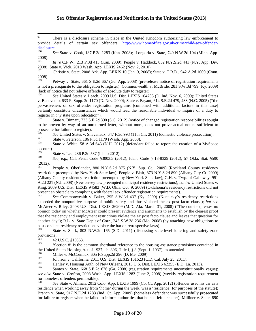99 There is a disclosure scheme in place in the United Kingdom authorizing law enforcement to provide details of certain sex offenders, http://www.homeoffice.gov.uk/crime/child-sex-offenderdisclosure. 100 *See* State v. Cook, 187 P.3d 1283 (Kan. 2008); Longoria v. State, 749 N.W.2d 104 (Minn. App.

100 2008).

 $101$  2008); State v. Vick, 2010 Wash. App. LEXIS 2462 (Nov. 2, 2010). <sup>101</sup>*In re* C.P.W., 213 P.3d 413 (Kan. 2009); People v. Haddock, 852 N.Y.S.2d 441 (N.Y. App. Div.

102 Christie v. State, 2008 Ark. App. LEXIS 10 (Jan. 9, 2008); State v. T.R.D., 942 A.2d 1000 (Conn. 2008).

103 is not a prerequisite to the obligation to register); Commonwealth v. McBride, 281 S.W.3d 799 (Ky. 2009) (lack of notice did not relieve offender of absolute duty to register). 103 Petway v. State, 661 S.E.2d 667 (Ga. App. 2008) (pre-release notice of registration requirements

<sup>104</sup>*See* United States v. Leach, 2009 U.S. Dist. LEXIS 104703 (D. Ind. Nov. 6, 2009); United States v. Benevento, 633 F. Supp. 2d 1170 (D. Nev. 2009); State v. Bryant, 614 S.E.2d 479, 488 (N.C. 2005) ("the pervasiveness of sex offender registration programs [combined with additional factors in this case] certainly constitute circumstances which would lead the reasonable individual to inquire of a duty to register in *any* state upon relocation").<br><sup>105</sup> State v. Binnarr, 733 S.E.2d 890 (S.C. 2012) (notice of changed registration responsibilities sought

to be proven by way of an unreturned letter, without more, does not prove actual notice sufficient to prosecute for failure to register).

<sup>106</sup> See United States v. Shavanaux, 647 F.3d 993 (11th Cir. 2011) (domestic violence prosecution).<br><sup>107</sup> State v. Peterson, 186 P.3d 1179 (Wash. App. 2008).

107

 $108\,$ State v. Peterson, 186 P.3d 1179 (Wash. App. 2008).<br>State v. White, 58 A.3d 643 (N.H. 2012) (defendant failed to report the creation of a MySpace  $\frac{account}{109}$ .

109 State v. Lee, 286 P.3d 537 (Idaho 2012). 110 *See, e.g.,* Cal. Penal Code §3003.5 (2012); Idaho Code § 18-8329 (2012); 57 Okla. Stat. §590 (2012).

 restriction preempted by New York State law); People v. Blair, 873 N.Y.S.2d 890 (Albany City Ct. 2009) present an obstacle to complying with federal sex offender registration requirements).<br><sup>112</sup> See Commonwealth v. Baker, 295 S.W.3d 437 (Ky. 2009) (Kentucky's residency restrictions 111 People v. Oberlander, 880 N.Y.S.2d 875 (N.Y. Sup. Ct. 2009) (Rockland County residency (Albany County residency restriction preempted by New York State law); G.H. v. Twp. of Galloway, 951 A.2d 221 (N.J. 2008) (New Jersey law preempted municipal residency restrictions); *contra* United States v. King, 2009 U.S. Dist. LEXIS 94582 (W.D. Okla. Oct. 9, 2009) (Oklahoma's residency restrictions did not

exceeded the nonpunitive purpose of public safety and thus violated the ex post facto clause); *but see*  McAteer v. Riley, 2008 U.S. Dist. LEXIS 26209 (M.D. Ala. March 31, 2008) ("The court expresses no opinion today on whether McAteer could present evidence and arguments to establish by the clearest proof that the residency and employment restrictions violate the ex post facto clause and leaves that question for another day"); R.L. v. State Dep't of Corr., 245 S.W.3d 236 (Mo. 2008) (by attaching new obligations to past conduct, residency restrictions violate the bar on retrospective laws).

State v. Stark, 802 N.W.2d 165 (S.D. 2011) (discussing state-level loitering and safety zone provisions).

114

115 12 U.S.C. §13663.<br>'Section 8' is the common shorthand reference to the housing assistance provisions contained in the United States Housing Act of 1937, ch. 896, Title I,  $\S$  8 (Sept. 1, 1937), as amended.<br> $\frac{116}{116}$  Millery McCermick 605 E Supp. 24.206 (D, Me. 2000).

Miller v. McCormick, 605 F.Supp.2d 296 (D. Me. 2009).<br>Johnson v. California, 2011 U.S. Dist. LEXIS 101623 (C.D. Cal. July 25, 2011).<br>Henley v. Housing Auth. of New Orleans, 2013 U.S. Dist. LEXIS 62255 (E.D. La. 2013).

118

119 *see also* State v. Crofton, 2008 Wash. App. LEXIS 1283 (June 2, 2008) (weekly registration requirement Santos v. State, 668 S.E.2d 676 (Ga. 2008) (registration requirements unconstitutionally vague); for homeless offenders permissible).

120 Branch v. State, 917 N.E.2d 1283 (Ind. Ct. App. 2009) (homeless defendant was successfully prosecuted <sup>120</sup>*See* State v. Allman, 2012 Colo. App. LEXIS 1999 (Co. Ct. App. 2012) (offender used his car as a residence when working away from 'home' during the week, was a 'residence' for purposes of the statute); for failure to register when he failed to inform authorities that he had left a shelter); Milliner v. State, 890